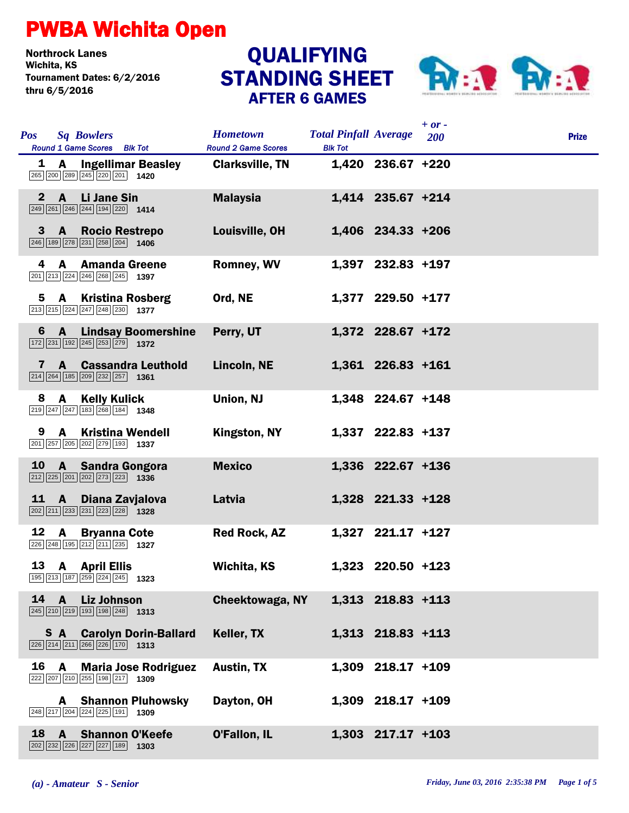## PWBA Wichita Open

Northrock Lanes Tournament Dates: 6/2/2016 thru 6/5/2016

## STANDING SHEET AFTER 6 GAMES QUALIFYING



|              |                                                                                                                                                  |                                               |                                                |                     | $+$ or $-$ |              |
|--------------|--------------------------------------------------------------------------------------------------------------------------------------------------|-----------------------------------------------|------------------------------------------------|---------------------|------------|--------------|
| <b>Pos</b>   | <b>Sq Bowlers</b><br>Round 1 Game Scores Blk Tot                                                                                                 | <b>Hometown</b><br><b>Round 2 Game Scores</b> | <b>Total Pinfall Average</b><br><b>Blk Tot</b> |                     | 200        | <b>Prize</b> |
|              | 1 A Ingellimar Beasley<br>265 200 289 245 220 201 1420                                                                                           | <b>Clarksville, TN</b>                        |                                                | 1,420 236.67 +220   |            |              |
| $\mathbf{2}$ | A Li Jane Sin<br>$\boxed{249}$ $\boxed{261}$ $\boxed{246}$ $\boxed{244}$ $\boxed{194}$ $\boxed{220}$ <b>1414</b>                                 | <b>Malaysia</b>                               |                                                | 1,414 235.67 +214   |            |              |
|              | 3 A Rocio Restrepo<br>$\boxed{246}$ 189 $\boxed{278}$ 231 $\boxed{258}$ 204 1406                                                                 | Louisville, OH                                |                                                | 1,406 234.33 +206   |            |              |
| 4            | A Amanda Greene<br>$\boxed{201}$ $\boxed{213}$ $\boxed{224}$ $\boxed{246}$ $\boxed{268}$ $\boxed{245}$ <b>1397</b>                               | <b>Romney, WV</b>                             |                                                | 1,397 232.83 +197   |            |              |
| 5            | <b>A</b> Kristina Rosberg<br>$\boxed{213}$ $\boxed{215}$ $\boxed{224}$ $\boxed{247}$ $\boxed{248}$ $\boxed{230}$ <b>1377</b>                     | Ord, NE                                       |                                                | 1,377 229.50 +177   |            |              |
| 6            | <b>A</b> Lindsay Boomershine<br>$\boxed{172}\boxed{231}\boxed{192}\boxed{245}\boxed{253}\boxed{279}$ 1372                                        | Perry, UT                                     |                                                | 1,372 228.67 +172   |            |              |
| 7            | <b>A</b> Cassandra Leuthold<br>$\boxed{214}$ $\boxed{264}$ $\boxed{185}$ $\boxed{209}$ $\boxed{232}$ $\boxed{257}$ <b>1361</b>                   | Lincoln, NE                                   |                                                | 1,361 226.83 +161   |            |              |
| 8            | A Kelly Kulick<br>$\boxed{219}$ $\boxed{247}$ $\boxed{247}$ 183 $\boxed{268}$ 184 1348                                                           | Union, NJ                                     |                                                | 1,348 224.67 +148   |            |              |
| 9            | <b>A</b> Kristina Wendell<br>201 257 205 202 279 193 1337                                                                                        | Kingston, NY                                  |                                                | 1,337 222.83 +137   |            |              |
| 10           | A Sandra Gongora<br>$\boxed{212}$ $\boxed{225}$ $\boxed{201}$ $\boxed{202}$ $\boxed{273}$ $\boxed{223}$ <b>1336</b>                              | <b>Mexico</b>                                 |                                                | 1,336 222.67 +136   |            |              |
| <u>11</u>    | $\overline{A}$<br>Diana Zavjalova<br>$\boxed{202}$ $\boxed{211}$ $\boxed{233}$ $\boxed{231}$ $\boxed{223}$ $\boxed{228}$ <b>1328</b>             | Latvia                                        |                                                | 1,328 221.33 +128   |            |              |
| 12           | <b>A</b><br><b>Bryanna Cote</b><br>226 248 195 212 211 235 1327                                                                                  | <b>Red Rock, AZ</b>                           |                                                | 1,327 221.17 +127   |            |              |
|              | 13 A April Ellis<br>195 213 187 259 224 245 1323                                                                                                 | Wichita, KS                                   |                                                | 1,323 220.50 +123   |            |              |
| 14           | $\mathbf{A}$<br><b>Liz Johnson</b><br>$\overline{245}$ $\overline{210}$ $\overline{219}$ $\overline{193}$ $\overline{198}$ $\overline{248}$ 1313 | <b>Cheektowaga, NY</b>                        |                                                | 1,313 218.83 +113   |            |              |
|              | <b>S</b> A Carolyn Dorin-Ballard<br>$\overline{226}$ $\overline{214}$ $\overline{211}$ $\overline{266}$ $\overline{226}$ 170 1313                | Keller, TX                                    |                                                | 1,313 218.83 +113   |            |              |
| 16           | <b>Maria Jose Rodriguez</b><br>A<br>222 207 210 255 198 217 1309                                                                                 | <b>Austin, TX</b>                             |                                                | 1,309 218.17 +109   |            |              |
|              | <b>Shannon Pluhowsky</b><br>A<br>248 217 204 224 225 191<br>1309                                                                                 | Dayton, OH                                    |                                                | 1,309 218.17 +109   |            |              |
| 18           | <b>Shannon O'Keefe</b><br>$\mathbf{A}$<br>$\boxed{202}$ $\boxed{232}$ $\boxed{226}$ $\boxed{227}$ $\boxed{227}$ $\boxed{189}$ <b>1303</b>        | <b>O'Fallon, IL</b>                           |                                                | $1,303$ 217.17 +103 |            |              |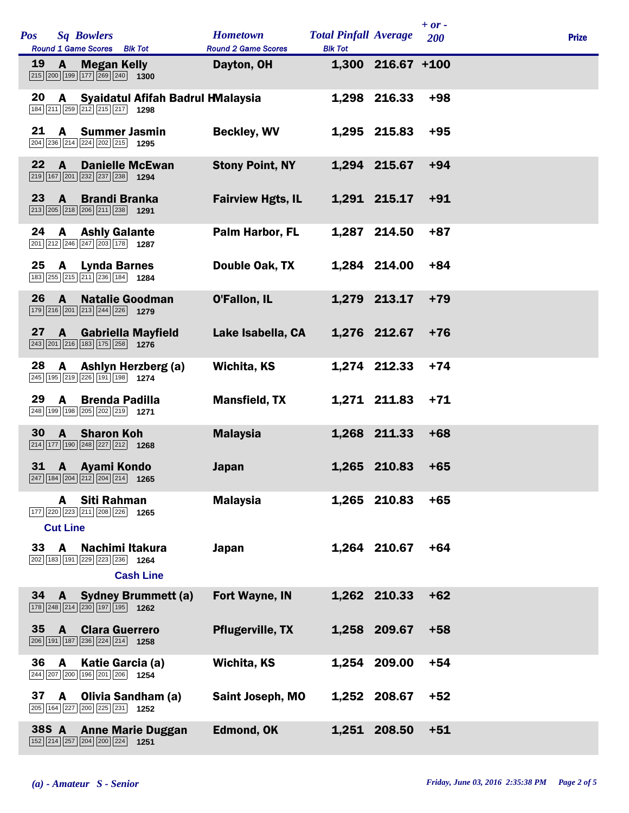| Pos   |                      | <b>Sq Bowlers</b><br>Round 1 Game Scores Blk Tot                                                       | <b>Hometown</b><br><b>Round 2 Game Scores</b> | <b>Total Pinfall Average</b><br><b>Blk Tot</b> |                     | $+ or -$<br>200 | <b>Prize</b> |
|-------|----------------------|--------------------------------------------------------------------------------------------------------|-----------------------------------------------|------------------------------------------------|---------------------|-----------------|--------------|
| 19    | A                    | <b>Megan Kelly</b><br>215 200 199 177 269 240 1300                                                     | Dayton, OH                                    |                                                | $1,300$ 216.67 +100 |                 |              |
| 20    | A                    | Syaidatul Afifah Badrul HMalaysia<br>184 211 259 212 215 217 1298                                      |                                               |                                                | 1,298 216.33        | $+98$           |              |
| 21    | A                    | <b>Summer Jasmin</b><br>204 236 214 224 202 215 1295                                                   | <b>Beckley, WV</b>                            |                                                | 1,295 215.83        | $+95$           |              |
| 22    | A                    | <b>Danielle McEwan</b><br>219 167 201 232 237 238 1294                                                 | <b>Stony Point, NY</b>                        |                                                | 1,294 215.67        | $+94$           |              |
| 23    | $\mathbf{A}$         | <b>Brandi Branka</b><br>213 205 218 206 211 238 1291                                                   | <b>Fairview Hgts, IL</b>                      |                                                | 1,291 215.17        | $+91$           |              |
| 24    | A                    | <b>Ashly Galante</b><br>201 212 246 247 203 178 1287                                                   | Palm Harbor, FL                               |                                                | 1,287 214.50        | $+87$           |              |
| 25    | <b>A</b>             | <b>Lynda Barnes</b><br>183 255 215 211 236 184 1284                                                    | Double Oak, TX                                |                                                | 1,284 214.00        | $+84$           |              |
| 26    | $\mathbf{A}$         | <b>Natalie Goodman</b><br>179 216 201 213 244 226 1279                                                 | O'Fallon, IL                                  |                                                | 1,279 213.17        | $+79$           |              |
| 27    | $\mathbf{A}$         | <b>Gabriella Mayfield</b><br>$\boxed{243}\boxed{201}\boxed{216}\boxed{183}\boxed{175}\boxed{258}$ 1276 | Lake Isabella, CA                             |                                                | 1,276 212.67        | $+76$           |              |
| 28    | A                    | Ashlyn Herzberg (a)<br>245 195 219 226 191 198 1274                                                    | <b>Wichita, KS</b>                            |                                                | 1,274 212.33        | $+74$           |              |
| 29    | A                    | <b>Brenda Padilla</b><br>248 199 198 205 202 219 1271                                                  | <b>Mansfield, TX</b>                          |                                                | 1,271 211.83        | $+71$           |              |
| 30    | $\mathbf{A}$         | <b>Sharon Koh</b><br>$\boxed{214}$ 177 190 248 227 212 1268                                            | <b>Malaysia</b>                               |                                                | 1,268 211.33        | $+68$           |              |
| 31    |                      | <b>A</b> Ayami Kondo<br>247 184 204 212 204 214 1265                                                   | <b>Japan</b>                                  |                                                | 1,265 210.83        | $+65$           |              |
|       | A<br><b>Cut Line</b> | Siti Rahman<br>177 220 223 211 208 226<br>1265                                                         | <b>Malaysia</b>                               |                                                | 1,265 210.83        | $+65$           |              |
| 33    | A                    | Nachimi Itakura<br>202 183 191 229 223 236 1264<br><b>Cash Line</b>                                    | Japan                                         |                                                | 1,264 210.67        | $+64$           |              |
| 34    | A                    | <b>Sydney Brummett (a)</b><br>178 248 214 230 197 195 1262                                             | Fort Wayne, IN                                |                                                | 1,262 210.33        | $+62$           |              |
| 35    | A                    | <b>Clara Guerrero</b><br>206 191 187 236 224 214 1258                                                  | <b>Pflugerville, TX</b>                       |                                                | 1,258 209.67        | $+58$           |              |
| 36    | A                    | Katie Garcia (a)<br>244 207 200 196 201 206 1254                                                       | <b>Wichita, KS</b>                            | 1,254                                          | 209.00              | $+54$           |              |
| 37    | A                    | Olivia Sandham (a)<br>205 164 227 200 225 231 1252                                                     | <b>Saint Joseph, MO</b>                       |                                                | 1,252 208.67        | +52             |              |
| 38S A |                      | <b>Anne Marie Duggan</b><br>152 214 257 204 200 224<br>1251                                            | <b>Edmond, OK</b>                             | 1,251                                          | 208.50              | $+51$           |              |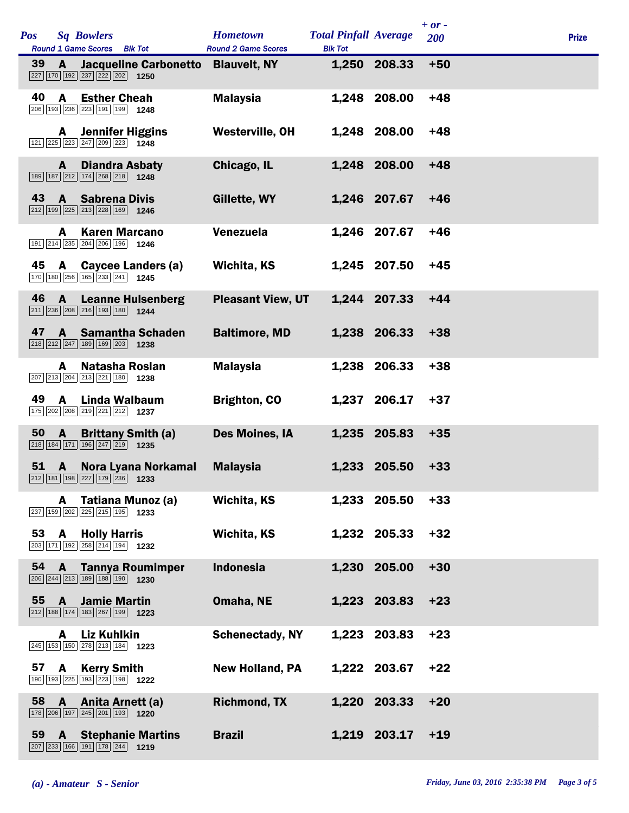| <b>Pos</b> |    |                | <b>Sq Bowlers</b><br>Round 1 Game Scores Blk Tot                                                                           | <b>Hometown</b><br><b>Round 2 Game Scores</b> | <b>Total Pinfall Average</b><br><b>Blk Tot</b> |              | $+ or -$<br>200 | <b>Prize</b> |
|------------|----|----------------|----------------------------------------------------------------------------------------------------------------------------|-----------------------------------------------|------------------------------------------------|--------------|-----------------|--------------|
| 39         |    | A              | Jacqueline Carbonetto<br>227 170 192 237 222 202 1250                                                                      | <b>Blauvelt, NY</b>                           |                                                | 1,250 208.33 | $+50$           |              |
| 40         |    | A              | <b>Esther Cheah</b><br>206 193 236 223 191 199 1248                                                                        | <b>Malaysia</b>                               |                                                | 1,248 208.00 | $+48$           |              |
|            |    | A              | <b>Jennifer Higgins</b><br>$\boxed{121}$ $\boxed{225}$ $\boxed{223}$ $\boxed{247}$ $\boxed{209}$ $\boxed{223}$ <b>1248</b> | Westerville, OH                               |                                                | 1,248 208.00 | $+48$           |              |
|            |    | A              | <b>Diandra Asbaty</b><br>189 187 212 174 268 218 1248                                                                      | Chicago, IL                                   |                                                | 1,248 208.00 | $+48$           |              |
| 43         |    | $\mathbf{A}$   | <b>Sabrena Divis</b><br>$\boxed{212}$ 199 225 213 228 169 1246                                                             | Gillette, WY                                  |                                                | 1,246 207.67 | $+46$           |              |
|            |    | A              | <b>Karen Marcano</b><br>191 214 235 204 206 196<br>1246                                                                    | <b>Venezuela</b>                              |                                                | 1,246 207.67 | $+46$           |              |
| 45         |    | A              | Caycee Landers (a)<br>170 180 256 165 233 241 1245                                                                         | Wichita, KS                                   |                                                | 1,245 207.50 | $+45$           |              |
| 46         |    | A              | <b>Leanne Hulsenberg</b><br>211 236 208 216 193 180 1244                                                                   | <b>Pleasant View, UT</b>                      |                                                | 1,244 207.33 | $+44$           |              |
| 47         |    | $\mathbf{A}$   | <b>Samantha Schaden</b><br>$\boxed{218}\boxed{212}\boxed{247}\boxed{189}\boxed{169}\boxed{203}$ 1238                       | <b>Baltimore, MD</b>                          |                                                | 1,238 206.33 | $+38$           |              |
|            |    | A              | Natasha Roslan<br>$\boxed{207}$ $\boxed{213}$ $\boxed{204}$ $\boxed{213}$ $\boxed{221}$ $\boxed{180}$ <b>1238</b>          | <b>Malaysia</b>                               |                                                | 1,238 206.33 | $+38$           |              |
| 49         |    | A              | Linda Walbaum<br>175 202 208 219 221 212 1237                                                                              | <b>Brighton, CO</b>                           |                                                | 1,237 206.17 | $+37$           |              |
| 50         |    | A              | <b>Brittany Smith (a)</b><br>$\boxed{218}$ 184 171 196 247 219 1235                                                        | Des Moines, IA                                |                                                | 1,235 205.83 | $+35$           |              |
|            | 51 | $\overline{A}$ | Nora Lyana Norkamal<br>212 181 198 227 179 236 1233                                                                        | <b>Malaysia</b>                               |                                                | 1,233 205.50 | $+33$           |              |
|            |    | A              | Tatiana Munoz (a)<br>$\boxed{237}$ 159 202 225 215 195 1233                                                                | Wichita, KS                                   |                                                | 1,233 205.50 | $+33$           |              |
|            | 53 |                | <b>A</b> Holly Harris<br>203 171 192 258 214 194 1232                                                                      | <b>Wichita, KS</b>                            |                                                | 1,232 205.33 | $+32$           |              |
|            | 54 | <b>A</b>       | <b>Tannya Roumimper</b><br>206 244 213 189 188 190 1230                                                                    | <b>Indonesia</b>                              |                                                | 1,230 205.00 | $+30$           |              |
| 55         |    | A              | <b>Jamie Martin</b><br>$\boxed{212}$ 188 174 183 267 199 1223                                                              | Omaha, NE                                     |                                                | 1,223 203.83 | $+23$           |              |
|            |    | A              | <b>Liz Kuhlkin</b><br>$\boxed{245}$ 153 150 278 213 184 1223                                                               | <b>Schenectady, NY</b>                        |                                                | 1,223 203.83 | $+23$           |              |
| 57         |    | $\mathbf{A}$   | <b>Kerry Smith</b><br>190 193 225 193 223 198 1222                                                                         | <b>New Holland, PA</b>                        |                                                | 1,222 203.67 | $+22$           |              |
|            | 58 | $\mathbf{A}$   | Anita Arnett (a)<br>178 206 197 245 201 193 1220                                                                           | <b>Richmond, TX</b>                           |                                                | 1,220 203.33 | $+20$           |              |
|            | 59 | $\mathbf{A}$   | <b>Stephanie Martins</b><br>207 233 166 191 178 244 1219                                                                   | <b>Brazil</b>                                 |                                                | 1,219 203.17 | $+19$           |              |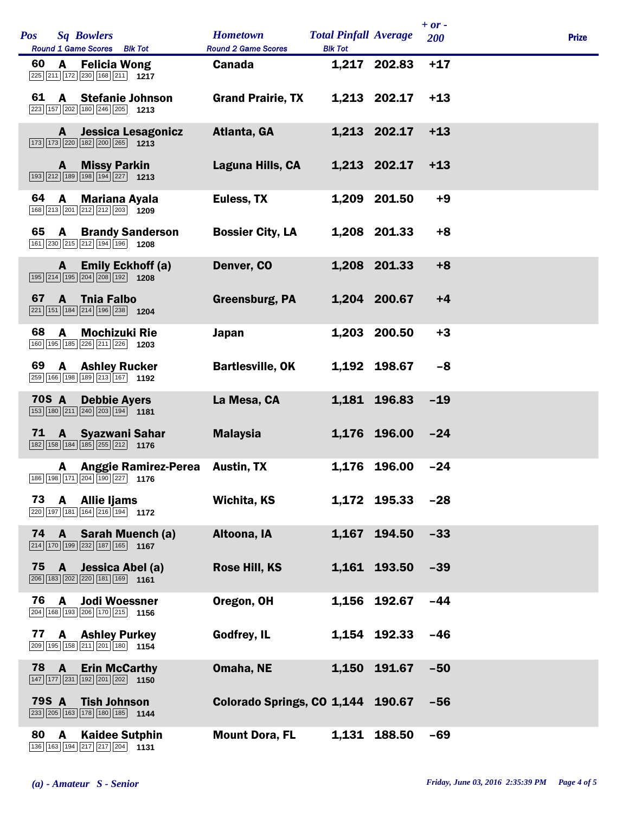| <b>Pos</b>   |                | <b>Sq Bowlers</b><br>Round 1 Game Scores Blk Tot                                                                        | <b>Hometown</b><br><b>Round 2 Game Scores</b> | <b>Total Pinfall Average</b><br><b>Blk Tot</b> |              | $+ or -$<br>200 | <b>Prize</b> |  |
|--------------|----------------|-------------------------------------------------------------------------------------------------------------------------|-----------------------------------------------|------------------------------------------------|--------------|-----------------|--------------|--|
| 60           | A              | <b>Felicia Wong</b><br>225 211 172 230 168 211 1217                                                                     | <b>Canada</b>                                 |                                                | 1,217 202.83 | $+17$           |              |  |
| 61           |                | A Stefanie Johnson<br>223 157 202 180 246 205 1213                                                                      | <b>Grand Prairie, TX</b>                      |                                                | 1,213 202.17 | $+13$           |              |  |
|              | A              | Jessica Lesagonicz<br>173 173 220 182 200 265 1213                                                                      | Atlanta, GA                                   |                                                | 1,213 202.17 | $+13$           |              |  |
|              | A              | <b>Missy Parkin</b><br>193 212 189 198 194 227 1213                                                                     | Laguna Hills, CA                              |                                                | 1,213 202.17 | $+13$           |              |  |
| 64           | $\mathbf{A}$   | <b>Mariana Ayala</b><br>168 213 201 212 212 203 1209                                                                    | Euless, TX                                    |                                                | 1,209 201.50 | $+9$            |              |  |
| 65           | A              | <b>Brandy Sanderson</b><br>161 230 215 212 194 196 1208                                                                 | <b>Bossier City, LA</b>                       |                                                | 1,208 201.33 | $+8$            |              |  |
|              | A              | <b>Emily Eckhoff (a)</b><br>195 214 195 204 208 192 1208                                                                | Denver, CO                                    |                                                | 1,208 201.33 | $+8$            |              |  |
| 67           | A              | <b>Thia Falbo</b><br>221 151 184 214 196 238 1204                                                                       | Greensburg, PA                                |                                                | 1,204 200.67 | $+4$            |              |  |
| 68           | A              | <b>Mochizuki Rie</b><br>160 195 185 226 211 226 1203                                                                    | <b>Japan</b>                                  |                                                | 1,203 200.50 | $+3$            |              |  |
| 69           |                | <b>A</b> Ashley Rucker<br>259 166 198 189 213 167 1192                                                                  | <b>Bartlesville, OK</b>                       |                                                | 1,192 198.67 | -8              |              |  |
| <b>70S A</b> |                | <b>Debbie Ayers</b><br>153 180 211 240 203 194 1181                                                                     | La Mesa, CA                                   |                                                | 1,181 196.83 | $-19$           |              |  |
| 71           |                | A Syazwani Sahar<br>182 158 184 185 255 212 176                                                                         | <b>Malaysia</b>                               |                                                | 1,176 196.00 | $-24$           |              |  |
|              |                | A Anggie Ramirez-Perea<br>186 198 171 204 190 227 1176                                                                  | <b>Austin, TX</b>                             |                                                | 1,176 196.00 | $-24$           |              |  |
| 73           | $\mathbf{A}$   | <b>Allie liams</b><br>220 197 181 164 216 194 1172                                                                      | Wichita, KS                                   |                                                | 1,172 195.33 | $-28$           |              |  |
| 74           |                | A Sarah Muench (a)<br>214 170 199 232 187 165 167                                                                       | Altoona, IA                                   | 1,167                                          | 194.50       | $-33$           |              |  |
| 75           | $\overline{A}$ | Jessica Abel (a)<br>206 183 202 220 181 169 1161                                                                        | Rose Hill, KS                                 |                                                | 1,161 193.50 | $-39$           |              |  |
| 76           | A              | <b>Jodi Woessner</b><br>204 168 193 206 170 215 1156                                                                    | Oregon, OH                                    |                                                | 1,156 192.67 | $-44$           |              |  |
| 77           |                | <b>A</b> Ashley Purkey<br>209 195 158 211 201 180 1154                                                                  | Godfrey, IL                                   |                                                | 1,154 192.33 | $-46$           |              |  |
| 78           | $\mathbf{A}$   | <b>Erin McCarthy</b><br>$\boxed{147}$ $\boxed{177}$ $\boxed{231}$ $\boxed{192}$ $\boxed{201}$ $\boxed{202}$ <b>1150</b> | Omaha, NE                                     | 1,150                                          | 191.67       | $-50$           |              |  |
| <b>79S A</b> |                | <b>Tish Johnson</b><br>233 205 163 178 180 185 1144                                                                     | Colorado Springs, CO 1,144 190.67             |                                                |              | $-56$           |              |  |
| 80           | A              | <b>Kaidee Sutphin</b><br>136 163 194 217 217 204 1131                                                                   | <b>Mount Dora, FL</b>                         |                                                | 1,131 188.50 | $-69$           |              |  |